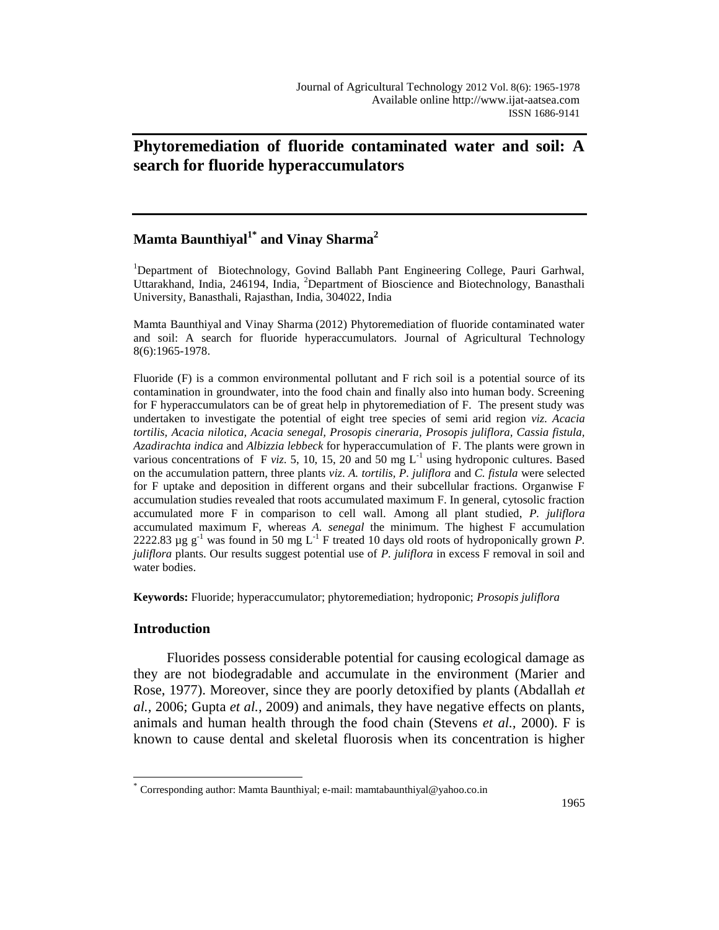# **Phytoremediation of fluoride contaminated water and soil: A search for fluoride hyperaccumulators**

# **Mamta Baunthiyal1\* and Vinay Sharma<sup>2</sup>**

<sup>1</sup>Department of Biotechnology, Govind Ballabh Pant Engineering College, Pauri Garhwal, Uttarakhand, India, 246194, India, <sup>2</sup>Department of Bioscience and Biotechnology, Banasthali University, Banasthali, Rajasthan, India, 304022, India

Mamta Baunthiyal and Vinay Sharma (2012) Phytoremediation of fluoride contaminated water and soil: A search for fluoride hyperaccumulators. Journal of Agricultural Technology 8(6):1965-1978.

Fluoride (F) is a common environmental pollutant and F rich soil is a potential source of its contamination in groundwater, into the food chain and finally also into human body. Screening for F hyperaccumulators can be of great help in phytoremediation of F. The present study was undertaken to investigate the potential of eight tree species of semi arid region *viz*. *Acacia tortilis, Acacia nilotica, Acacia senegal, Prosopis cineraria, Prosopis juliflora, Cassia fistula, Azadirachta indica* and *Albizzia lebbeck* for hyperaccumulation of F. The plants were grown in various concentrations of F *viz.* 5, 10, 15, 20 and 50 mg  $L^{-1}$  using hydroponic cultures. Based on the accumulation pattern, three plants *viz*. *A. tortilis, P. juliflora* and *C. fistula* were selected for F uptake and deposition in different organs and their subcellular fractions. Organwise F accumulation studies revealed that roots accumulated maximum F. In general, cytosolic fraction accumulated more F in comparison to cell wall. Among all plant studied, *P. juliflora* accumulated maximum F, whereas *A. senegal* the minimum. The highest F accumulation 2222.83  $\mu$ g g<sup>-1</sup> was found in 50 mg L<sup>-1</sup> F treated 10 days old roots of hydroponically grown *P*. *juliflora* plants. Our results suggest potential use of *P. juliflora* in excess F removal in soil and water bodies.

**Keywords:** Fluoride; hyperaccumulator; phytoremediation; hydroponic; *Prosopis juliflora*

#### **Introduction**

 $\overline{a}$ 

Fluorides possess considerable potential for causing ecological damage as they are not biodegradable and accumulate in the environment (Marier and Rose, 1977). Moreover, since they are poorly detoxified by plants (Abdallah *et al.,* 2006; Gupta *et al.,* 2009) and animals, they have negative effects on plants, animals and human health through the food chain (Stevens *et al.,* 2000). F is known to cause dental and skeletal fluorosis when its concentration is higher

<sup>\*</sup> Corresponding author: Mamta Baunthiyal; e-mail: mamtabaunthiyal@yahoo.co.in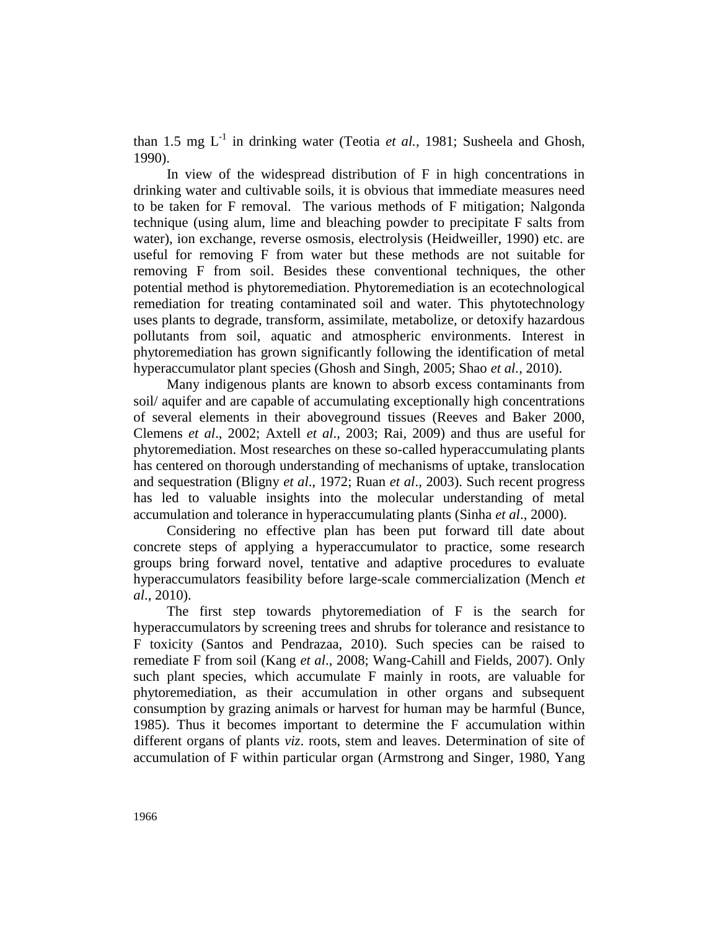than 1.5 mg L<sup>-1</sup> in drinking water (Teotia *et al.*, 1981; Susheela and Ghosh, 1990).

In view of the widespread distribution of F in high concentrations in drinking water and cultivable soils, it is obvious that immediate measures need to be taken for F removal. The various methods of F mitigation; Nalgonda technique (using alum, lime and bleaching powder to precipitate F salts from water), ion exchange, reverse osmosis, electrolysis (Heidweiller, 1990) etc. are useful for removing F from water but these methods are not suitable for removing F from soil. Besides these conventional techniques, the other potential method is phytoremediation. Phytoremediation is an ecotechnological remediation for treating contaminated soil and water. This phytotechnology uses plants to degrade, transform, assimilate, metabolize, or detoxify hazardous pollutants from soil, aquatic and atmospheric environments. Interest in phytoremediation has grown significantly following the identification of metal hyperaccumulator plant species (Ghosh and Singh, 2005; Shao *et al.,* 2010).

Many indigenous plants are known to absorb excess contaminants from soil/ aquifer and are capable of accumulating exceptionally high concentrations of several elements in their aboveground tissues (Reeves and Baker 2000, Clemens *et al*., 2002; Axtell *et al*., 2003; Rai, 2009) and thus are useful for phytoremediation. Most researches on these so-called hyperaccumulating plants has centered on thorough understanding of mechanisms of uptake, translocation and sequestration (Bligny *et al*., 1972; Ruan *et al*., 2003). Such recent progress has led to valuable insights into the molecular understanding of metal accumulation and tolerance in hyperaccumulating plants (Sinha *et al*., 2000).

Considering no effective plan has been put forward till date about concrete steps of applying a hyperaccumulator to practice, some research groups bring forward novel, tentative and adaptive procedures to evaluate hyperaccumulators feasibility before large-scale commercialization (Mench *et al*., 2010).

The first step towards phytoremediation of F is the search for hyperaccumulators by screening trees and shrubs for tolerance and resistance to F toxicity (Santos and Pendrazaa, 2010). Such species can be raised to remediate F from soil (Kang *et al*., 2008; Wang-Cahill and Fields, 2007). Only such plant species, which accumulate F mainly in roots, are valuable for phytoremediation, as their accumulation in other organs and subsequent consumption by grazing animals or harvest for human may be harmful (Bunce, 1985). Thus it becomes important to determine the F accumulation within different organs of plants *viz*. roots, stem and leaves. Determination of site of accumulation of F within particular organ (Armstrong and Singer, 1980, Yang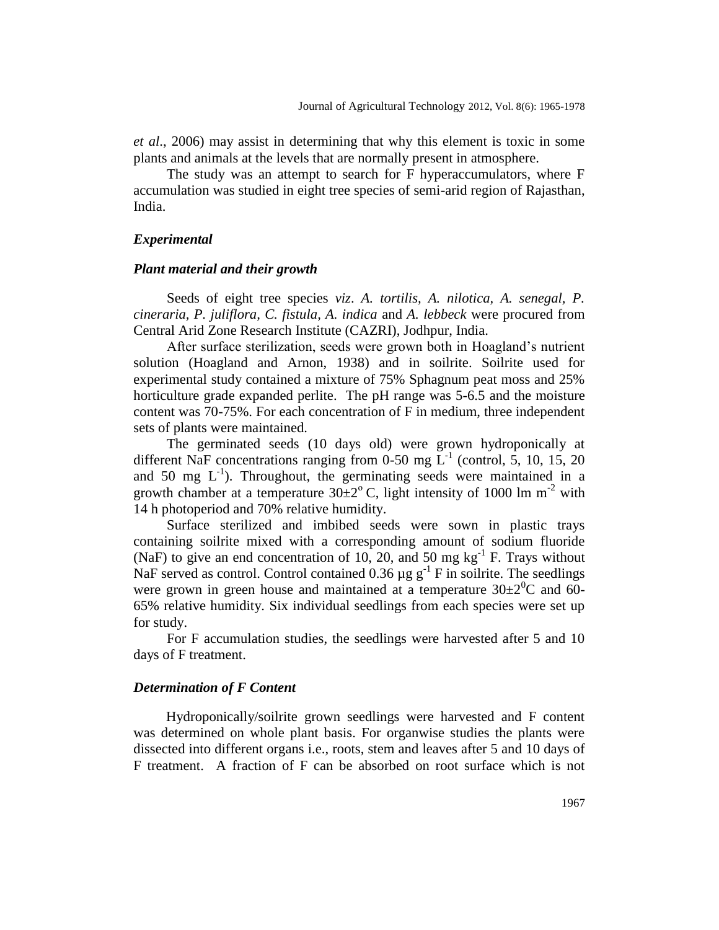*et al*., 2006) may assist in determining that why this element is toxic in some plants and animals at the levels that are normally present in atmosphere.

The study was an attempt to search for F hyperaccumulators, where F accumulation was studied in eight tree species of semi-arid region of Rajasthan, India.

#### *Experimental*

#### *Plant material and their growth*

Seeds of eight tree species *viz*. *A. tortilis, A. nilotica, A. senegal, P. cineraria, P. juliflora, C. fistula, A. indica* and *A. lebbeck* were procured from Central Arid Zone Research Institute (CAZRI), Jodhpur, India.

After surface sterilization, seeds were grown both in Hoagland's nutrient solution (Hoagland and Arnon, 1938) and in soilrite. Soilrite used for experimental study contained a mixture of 75% Sphagnum peat moss and 25% horticulture grade expanded perlite. The pH range was 5-6.5 and the moisture content was 70-75%. For each concentration of F in medium, three independent sets of plants were maintained.

The germinated seeds (10 days old) were grown hydroponically at different NaF concentrations ranging from 0-50 mg  $L^{-1}$  (control, 5, 10, 15, 20 and 50 mg  $L^{-1}$ ). Throughout, the germinating seeds were maintained in a growth chamber at a temperature  $30\pm2^{\circ}$  C, light intensity of 1000 lm m<sup>-2</sup> with 14 h photoperiod and 70% relative humidity.

Surface sterilized and imbibed seeds were sown in plastic trays containing soilrite mixed with a corresponding amount of sodium fluoride (NaF) to give an end concentration of 10, 20, and 50 mg  $kg^{-1}$  F. Trays without NaF served as control. Control contained 0.36  $\mu$ g g<sup>-1</sup> F in soilrite. The seedlings were grown in green house and maintained at a temperature  $30\pm2\degree C$  and 60-65% relative humidity. Six individual seedlings from each species were set up for study.

For F accumulation studies, the seedlings were harvested after 5 and 10 days of F treatment.

#### *Determination of F Content*

Hydroponically/soilrite grown seedlings were harvested and F content was determined on whole plant basis. For organwise studies the plants were dissected into different organs i.e., roots, stem and leaves after 5 and 10 days of F treatment. A fraction of F can be absorbed on root surface which is not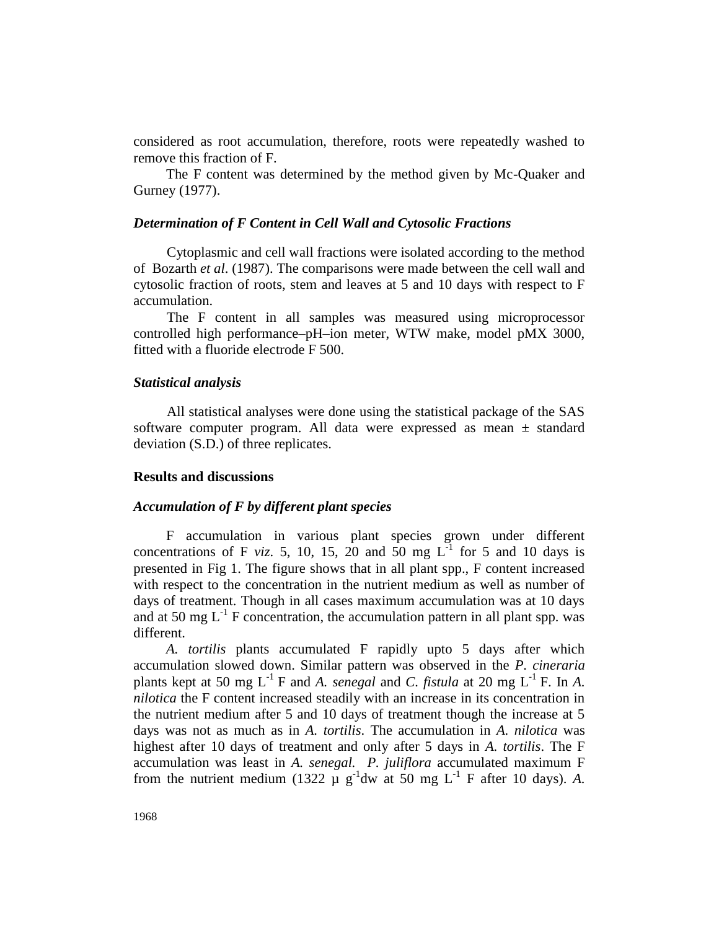considered as root accumulation, therefore, roots were repeatedly washed to remove this fraction of F.

The F content was determined by the method given by Mc-Quaker and Gurney (1977).

### *Determination of F Content in Cell Wall and Cytosolic Fractions*

Cytoplasmic and cell wall fractions were isolated according to the method of Bozarth *et al*. (1987). The comparisons were made between the cell wall and cytosolic fraction of roots, stem and leaves at 5 and 10 days with respect to F accumulation.

The F content in all samples was measured using microprocessor controlled high performance–pH–ion meter, WTW make, model pMX 3000, fitted with a fluoride electrode F 500.

## *Statistical analysis*

All statistical analyses were done using the statistical package of the SAS software computer program. All data were expressed as mean  $\pm$  standard deviation (S.D.) of three replicates.

#### **Results and discussions**

## *Accumulation of F by different plant species*

F accumulation in various plant species grown under different concentrations of F *viz*. 5, 10, 15, 20 and 50 mg  $L^{-1}$  for 5 and 10 days is presented in Fig 1. The figure shows that in all plant spp., F content increased with respect to the concentration in the nutrient medium as well as number of days of treatment. Though in all cases maximum accumulation was at 10 days and at 50 mg  $L^{-1}$  F concentration, the accumulation pattern in all plant spp. was different.

*A. tortilis* plants accumulated F rapidly upto 5 days after which accumulation slowed down. Similar pattern was observed in the *P. cineraria* plants kept at 50 mg  $L^{-1}$  F and *A. senegal* and *C. fistula* at 20 mg  $L^{-1}$  F. In *A. nilotica* the F content increased steadily with an increase in its concentration in the nutrient medium after 5 and 10 days of treatment though the increase at 5 days was not as much as in *A. tortilis*. The accumulation in *A. nilotica* was highest after 10 days of treatment and only after 5 days in *A. tortilis*. The F accumulation was least in *A. senegal.**P. juliflora* accumulated maximum F from the nutrient medium (1322  $\mu$  g<sup>-1</sup>dw at 50 mg L<sup>-1</sup> F after 10 days). A.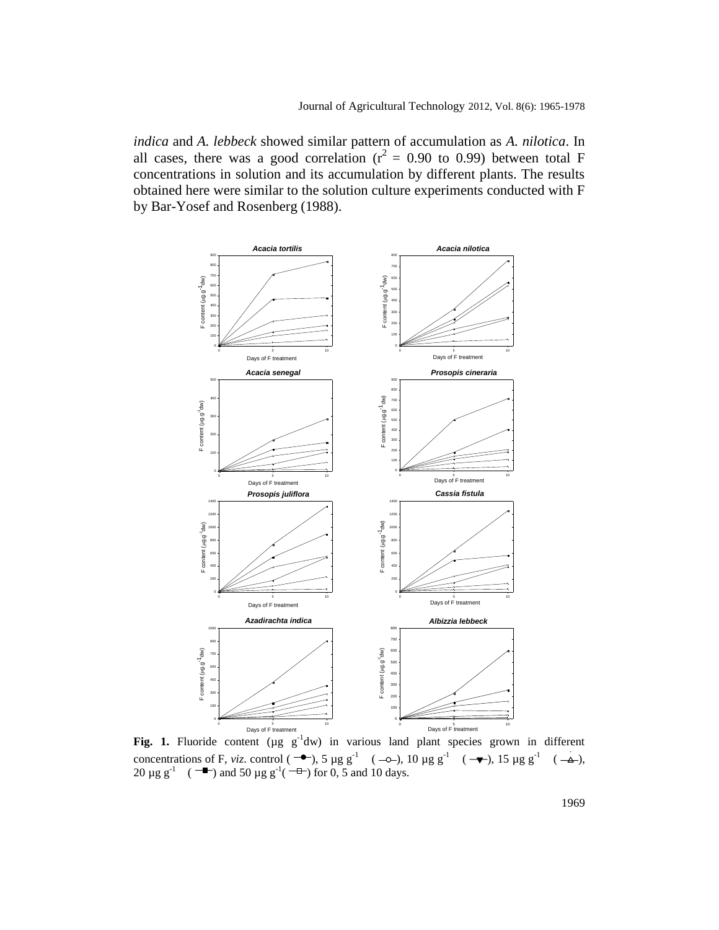*indica* and *A. lebbeck* showed similar pattern of accumulation as *A. nilotica*. In all cases, there was a good correlation ( $r^2 = 0.90$  to 0.99) between total F concentrations in solution and its accumulation by different plants. The results obtained here were similar to the solution culture experiments conducted with F by Bar-Yosef and Rosenberg (1988).



**Fig. 1.** Fluoride content ( $\mu$ g  $g^{-1}$ dw) in various land plant species grown in different Fig. 1. Fluoride content ( $\mu$ g  $g^{-1}$ dw) in various<br>concentrations of F, *viz*. control ( $\rightarrow$ ), 5  $\mu$ g  $g^{-1}$  (<br>20  $\mu$ g  $g^{-1}$  ( $\rightarrow$ ) and 50  $\mu$ g  $g^{-1}$ ( $\rightarrow$  for 0.5 and 11 days vs 10ppm concentrations of F, viz. control  $(-\rightarrow)$ , 5  $\mu$ g g<sup>-1</sup>  $(-\rightarrow)$ , 10  $\mu$ g g<sup>-1</sup>  $\mathbf{s}$ . ), 10  $\mu$ g g<sup>-1</sup> ( Fig. 1. Fluoride content  $(\mu g g^{-1}dw)$  in various land plant species grown in di  $\mu$ own muu  $15 \mu g g^{-1}$  ( ), 15  $\mu$ g g<sup>-1</sup> ( ns of F, viz. control ( $\rightarrow$ ), 5  $\mu$ g g<sup>-1</sup> ( $\rightarrow$ ), 10  $\mu$ g g<sup>-1</sup> ( $\rightarrow$ ), 15  $\mu$ g g<sup>-1</sup> ( $\rightarrow$ ), 20 μg g<sup>-1</sup> ( coment ( $\mu$ g F, *viz*. control and 50  $\mu$ o  $\sigma^{\text{-}1}$ ( ) and 50  $\mu$ g g<sup>-1</sup>(  $\alpha$  in various  $\log 5 \text{ erg s}^{-1}$  ( ) for  $0, 5$  and  $10$  days.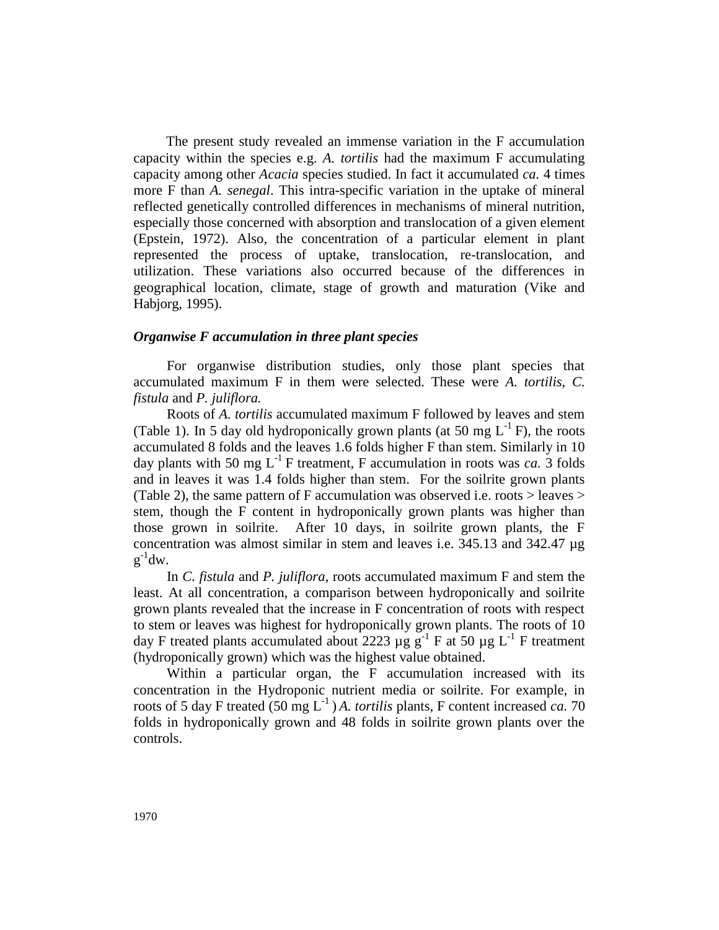The present study revealed an immense variation in the F accumulation capacity within the species e.g. *A. tortilis* had the maximum F accumulating capacity among other *Acacia* species studied. In fact it accumulated *ca.* 4 times more F than *A. senegal*. This intra-specific variation in the uptake of mineral reflected genetically controlled differences in mechanisms of mineral nutrition, especially those concerned with absorption and translocation of a given element (Epstein, 1972). Also, the concentration of a particular element in plant represented the process of uptake, translocation, re-translocation, and utilization. These variations also occurred because of the differences in geographical location, climate, stage of growth and maturation (Vike and Habjorg, 1995).

# *Organwise F accumulation in three plant species*

For organwise distribution studies, only those plant species that accumulated maximum F in them were selected. These were *A. tortilis, C. fistula* and *P. juliflora.*

Roots of *A. tortilis* accumulated maximum F followed by leaves and stem (Table 1). In 5 day old hydroponically grown plants (at 50 mg  $L^{-1}$  F), the roots accumulated 8 folds and the leaves 1.6 folds higher F than stem. Similarly in 10 day plants with 50 mg  $L^{-1}$  F treatment, F accumulation in roots was *ca*. 3 folds and in leaves it was 1.4 folds higher than stem. For the soilrite grown plants (Table 2), the same pattern of F accumulation was observed i.e. roots > leaves > stem, though the F content in hydroponically grown plants was higher than those grown in soilrite. After 10 days, in soilrite grown plants, the F concentration was almost similar in stem and leaves i.e. 345.13 and 342.47 µg  $g^{-1}dw$ .

In *C. fistula* and *P. juliflora*, roots accumulated maximum F and stem the least. At all concentration, a comparison between hydroponically and soilrite grown plants revealed that the increase in F concentration of roots with respect to stem or leaves was highest for hydroponically grown plants. The roots of 10 day F treated plants accumulated about 2223  $\mu$ g g<sup>-1</sup> F at 50  $\mu$ g L<sup>-1</sup> F treatment (hydroponically grown) which was the highest value obtained.

Within a particular organ, the F accumulation increased with its concentration in the Hydroponic nutrient media or soilrite. For example, in roots of 5 day F treated (50 mg  $L^{-1}$ ) *A. tortilis* plants, F content increased *ca.* 70 folds in hydroponically grown and 48 folds in soilrite grown plants over the controls.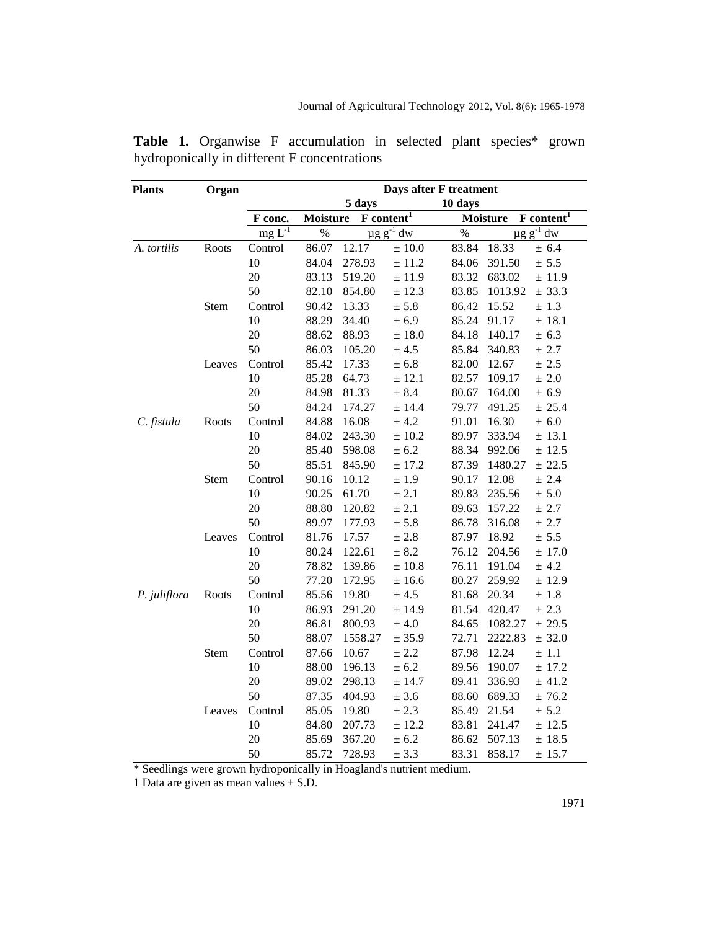| <b>Plants</b> | Organ  | Days after F treatment |                                           |                            |            |                                                      |                            |           |  |
|---------------|--------|------------------------|-------------------------------------------|----------------------------|------------|------------------------------------------------------|----------------------------|-----------|--|
|               |        |                        | 5 days<br>10 days                         |                            |            |                                                      |                            |           |  |
|               |        | F conc.<br>$mg L-1$    | F content <sup>1</sup><br><b>Moisture</b> |                            |            | $\mathbf{F}$ content <sup>1</sup><br><b>Moisture</b> |                            |           |  |
|               |        |                        | $\%$                                      | $\mu$ g g <sup>-1</sup> dw |            | $\%$                                                 | $\mu$ g g <sup>-1</sup> dw |           |  |
| A. tortilis   | Roots  | Control                | 86.07                                     | 12.17                      | $\pm$ 10.0 | 83.84                                                | 18.33                      | ± 6.4     |  |
|               |        | 10                     | 84.04                                     | 278.93                     | ± 11.2     | 84.06                                                | 391.50                     | ± 5.5     |  |
|               |        | 20                     | 83.13                                     | 519.20                     | ± 11.9     | 83.32                                                | 683.02                     | $±$ 11.9  |  |
|               |        | 50                     | 82.10                                     | 854.80                     | $\pm$ 12.3 | 83.85                                                | 1013.92                    | ± 33.3    |  |
|               | Stem   | Control                | 90.42                                     | 13.33                      | $\pm$ 5.8  | 86.42                                                | 15.52                      | ± 1.3     |  |
|               |        | 10                     | 88.29                                     | 34.40                      | ± 6.9      | 85.24                                                | 91.17                      | $±$ 18.1  |  |
|               |        | 20                     | 88.62                                     | 88.93                      | $\pm$ 18.0 | 84.18                                                | 140.17                     | ± 6.3     |  |
|               |        | 50                     | 86.03                                     | 105.20                     | $\pm$ 4.5  | 85.84                                                | 340.83                     | ± 2.7     |  |
|               | Leaves | Control                | 85.42                                     | 17.33                      | $\pm$ 6.8  | 82.00                                                | 12.67                      | ± 2.5     |  |
|               |        | 10                     | 85.28                                     | 64.73                      | ± 12.1     | 82.57                                                | 109.17                     | $\pm$ 2.0 |  |
|               |        | 20                     | 84.98                                     | 81.33                      | ± 8.4      | 80.67                                                | 164.00                     | ± 6.9     |  |
|               |        | 50                     | 84.24                                     | 174.27                     | ± 14.4     | 79.77                                                | 491.25                     | ± 25.4    |  |
| C. fistula    | Roots  | Control                | 84.88                                     | 16.08                      | $\pm$ 4.2  | 91.01                                                | 16.30                      | $\pm$ 6.0 |  |
|               |        | 10                     | 84.02                                     | 243.30                     | ± 10.2     | 89.97                                                | 333.94                     | ± 13.1    |  |
|               |        | 20                     | 85.40                                     | 598.08                     | ± 6.2      | 88.34                                                | 992.06                     | ± 12.5    |  |
|               |        | 50                     | 85.51                                     | 845.90                     | $\pm$ 17.2 | 87.39                                                | 1480.27                    | ± 22.5    |  |
|               | Stem   | Control                | 90.16                                     | 10.12                      | $\pm$ 1.9  | 90.17                                                | 12.08                      | ± 2.4     |  |
|               |        | 10                     | 90.25                                     | 61.70                      | $\pm$ 2.1  | 89.83                                                | 235.56                     | $\pm$ 5.0 |  |
|               |        | 20                     | 88.80                                     | 120.82                     | ± 2.1      | 89.63                                                | 157.22                     | ± 2.7     |  |
|               |        | 50                     | 89.97                                     | 177.93                     | $\pm$ 5.8  | 86.78                                                | 316.08                     | ± 2.7     |  |
|               | Leaves | Control                | 81.76                                     | 17.57                      | ± 2.8      | 87.97                                                | 18.92                      | $\pm$ 5.5 |  |
|               |        | 10                     | 80.24                                     | 122.61                     | ± 8.2      | 76.12                                                | 204.56                     | ± 17.0    |  |
|               |        | 20                     | 78.82                                     | 139.86                     | $\pm$ 10.8 | 76.11                                                | 191.04                     | ± 4.2     |  |
|               |        | 50                     | 77.20                                     | 172.95                     | $\pm$ 16.6 | 80.27                                                | 259.92                     | $±$ 12.9  |  |
| P. juliflora  | Roots  | Control                | 85.56                                     | 19.80                      | ± 4.5      | 81.68                                                | 20.34                      | ± 1.8     |  |
|               |        | 10                     | 86.93                                     | 291.20                     | ± 14.9     | 81.54                                                | 420.47                     | ± 2.3     |  |
|               |        | 20                     | 86.81                                     | 800.93                     | ± 4.0      | 84.65                                                | 1082.27                    | ± 29.5    |  |
|               |        | 50                     | 88.07                                     | 1558.27                    | ± 35.9     | 72.71                                                | 2222.83                    | ± 32.0    |  |
|               | Stem   | Control                | 87.66                                     | 10.67                      | $\pm$ 2.2  | 87.98                                                | 12.24                      | $\pm$ 1.1 |  |
|               |        | 10                     | 88.00                                     | 196.13                     | ± 6.2      | 89.56                                                | 190.07                     | ± 17.2    |  |
|               |        | 20                     | 89.02                                     | 298.13                     | ± 14.7     | 89.41                                                | 336.93                     | ± 41.2    |  |
|               |        | 50                     | 87.35                                     | 404.93                     | ± 3.6      | 88.60                                                | 689.33                     | ± 76.2    |  |
|               | Leaves | Control                | 85.05                                     | 19.80                      | ± 2.3      | 85.49                                                | 21.54                      | ± 5.2     |  |
|               |        | 10                     | 84.80                                     | 207.73                     | ± 12.2     | 83.81                                                | 241.47                     | ± 12.5    |  |
|               |        | 20                     | 85.69                                     | 367.20                     | ± 6.2      | 86.62                                                | 507.13                     | $±$ 18.5  |  |
|               |        | 50                     | 85.72                                     | 728.93                     | ± 3.3      | 83.31                                                | 858.17                     | ± 15.7    |  |

Table 1. Organwise F accumulation in selected plant species\* grown hydroponically in different F concentrations

\* Seedlings were grown hydroponically in Hoagland's nutrient medium.

1 Data are given as mean values  $\pm$  S.D.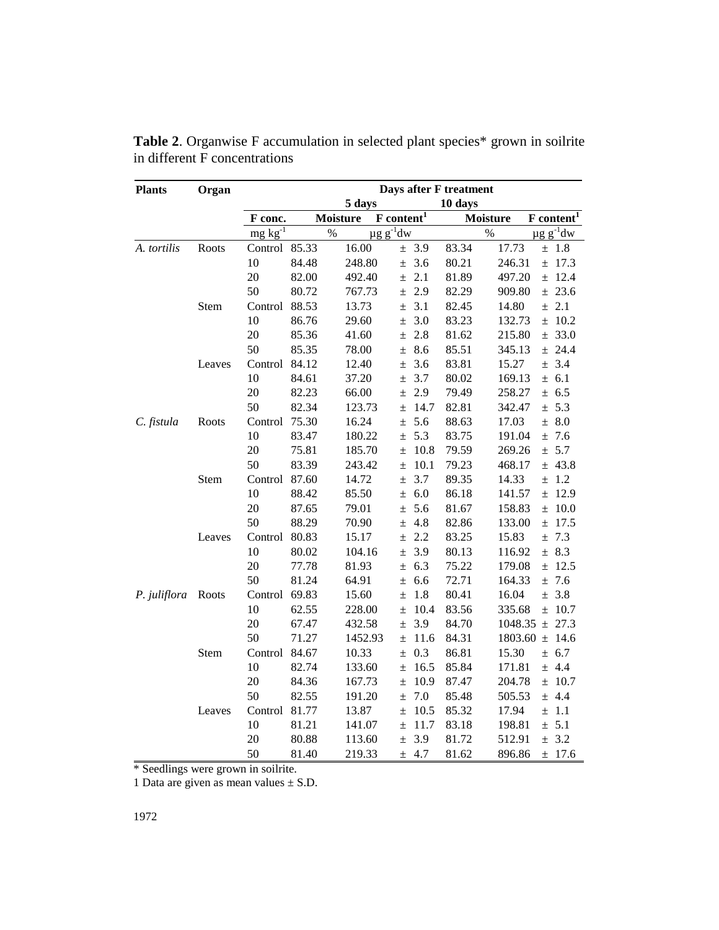| <b>Plants</b> | Organ  | Days after F treatment |       |                 |                                              |         |                                                                 |  |  |
|---------------|--------|------------------------|-------|-----------------|----------------------------------------------|---------|-----------------------------------------------------------------|--|--|
|               |        |                        |       | 5 days          |                                              | 10 days |                                                                 |  |  |
|               |        | F conc.                |       | <b>Moisture</b> | $\overline{\mathbf{F}}$ content <sup>1</sup> |         | $\overline{\textbf{F}}$ content <sup>1</sup><br><b>Moisture</b> |  |  |
|               |        | $mg kg^{-1}$           |       | $\%$            | $\mu$ g g <sup>-1</sup> dw                   |         | $\mu$ g g <sup>-1</sup> dw<br>$\%$                              |  |  |
| A. tortilis   | Roots  | Control                | 85.33 | 16.00           | 3.9<br>$\pm$                                 | 83.34   | 17.73<br>± 1.8                                                  |  |  |
|               |        | 10                     | 84.48 | 248.80          | 3.6<br>$\pm$                                 | 80.21   | ± 17.3<br>246.31                                                |  |  |
|               |        | 20                     | 82.00 | 492.40          | 2.1<br>$\pm$                                 | 81.89   | $±$ 12.4<br>497.20                                              |  |  |
|               |        | 50                     | 80.72 | 767.73          | 2.9<br>$\pm$                                 | 82.29   | ± 23.6<br>909.80                                                |  |  |
|               | Stem   | Control                | 88.53 | 13.73           | 3.1<br>$\pm$                                 | 82.45   | $\pm$ 2.1<br>14.80                                              |  |  |
|               |        | 10                     | 86.76 | 29.60           | 3.0<br>$\pm$                                 | 83.23   | $±$ 10.2<br>132.73                                              |  |  |
|               |        | 20                     | 85.36 | 41.60           | 2.8<br>$\pm$                                 | 81.62   | ± 33.0<br>215.80                                                |  |  |
|               |        | 50                     | 85.35 | 78.00           | 8.6<br>$\pm$                                 | 85.51   | ± 24.4<br>345.13                                                |  |  |
|               | Leaves | Control                | 84.12 | 12.40           | 3.6<br>$\pm$                                 | 83.81   | ± 3.4<br>15.27                                                  |  |  |
|               |        | 10                     | 84.61 | 37.20           | 3.7<br>$\pm$                                 | 80.02   | 169.13<br>± 6.1                                                 |  |  |
|               |        | 20                     | 82.23 | 66.00           | 2.9<br>$\pm$                                 | 79.49   | ± 6.5<br>258.27                                                 |  |  |
|               |        | 50                     | 82.34 | 123.73          | 14.7<br>$\pm$                                | 82.81   | ± 5.3<br>342.47                                                 |  |  |
| C. fistula    | Roots  | Control                | 75.30 | 16.24           | 5.6<br>$\pm$                                 | 88.63   | ± 8.0<br>17.03                                                  |  |  |
|               |        | 10                     | 83.47 | 180.22          | 5.3<br>$\pm$                                 | 83.75   | ± 7.6<br>191.04                                                 |  |  |
|               |        | 20                     | 75.81 | 185.70          | 10.8<br>$\pm$                                | 79.59   | ± 5.7<br>269.26                                                 |  |  |
|               |        | 50                     | 83.39 | 243.42          | 10.1<br>$\pm$                                | 79.23   | $±$ 43.8<br>468.17                                              |  |  |
|               | Stem   | Control                | 87.60 | 14.72           | 3.7<br>$\pm$                                 | 89.35   | $\pm$ 1.2<br>14.33                                              |  |  |
|               |        | 10                     | 88.42 | 85.50           | 6.0<br>$\pm$                                 | 86.18   | $±$ 12.9<br>141.57                                              |  |  |
|               |        | 20                     | 87.65 | 79.01           | 5.6<br>$\pm$                                 | 81.67   | ± 10.0<br>158.83                                                |  |  |
|               |        | 50                     | 88.29 | 70.90           | 4.8<br>$\pm$                                 | 82.86   | ± 17.5<br>133.00                                                |  |  |
|               | Leaves | Control                | 80.83 | 15.17           | 2.2<br>$\pm$                                 | 83.25   | ± 7.3<br>15.83                                                  |  |  |
|               |        | 10                     | 80.02 | 104.16          | 3.9<br>$\pm$                                 | 80.13   | ± 8.3<br>116.92                                                 |  |  |
|               |        | 20                     | 77.78 | 81.93           | 6.3<br>$\pm$                                 | 75.22   | $±$ 12.5<br>179.08                                              |  |  |
|               |        | 50                     | 81.24 | 64.91           | 6.6<br>$\pm$                                 | 72.71   | ± 7.6<br>164.33                                                 |  |  |
| P. juliflora  | Roots  | Control                | 69.83 | 15.60           | 1.8<br>$\pm$                                 | 80.41   | ± 3.8<br>16.04                                                  |  |  |
|               |        | 10                     | 62.55 | 228.00          | 10.4<br>$\pm$                                | 83.56   | 335.68<br>± 10.7                                                |  |  |
|               |        | 20                     | 67.47 | 432.58          | 3.9<br>$\pm$                                 | 84.70   | ± 27.3<br>1048.35                                               |  |  |
|               |        | 50                     | 71.27 | 1452.93         | 11.6<br>$\pm$                                | 84.31   | $1803.60 \pm 14.6$                                              |  |  |
|               | Stem   | Control                | 84.67 | 10.33           | 0.3<br>$\pm$                                 | 86.81   | ± 6.7<br>15.30                                                  |  |  |
|               |        | 10                     | 82.74 | 133.60          | 16.5<br>$\pm$                                | 85.84   | ± 4.4<br>171.81                                                 |  |  |
|               |        | 20                     | 84.36 | 167.73          | 10.9<br>$\pm$                                | 87.47   | $±$ 10.7<br>204.78                                              |  |  |
|               |        | 50                     | 82.55 | 191.20          | 7.0<br>$\pm$                                 | 85.48   | ± 4.4<br>505.53                                                 |  |  |
|               | Leaves | Control                | 81.77 | 13.87           | 10.5<br>$\pm$                                | 85.32   | $\pm$ 1.1<br>17.94                                              |  |  |
|               |        | 10                     | 81.21 | 141.07          | 11.7<br>土                                    | 83.18   | ± 5.1<br>198.81                                                 |  |  |
|               |        | 20                     | 80.88 | 113.60          | 3.9<br>$\pm$                                 | 81.72   | ± 3.2<br>512.91                                                 |  |  |
|               |        | 50                     | 81.40 | 219.33          | 4.7<br>$\pm$                                 | 81.62   | 896.86<br>$±$ 17.6                                              |  |  |

Table 2. Organwise F accumulation in selected plant species\* grown in soilrite in different F concentrations

\* Seedlings were grown in soilrite.

1 Data are given as mean values  $\pm$  S.D.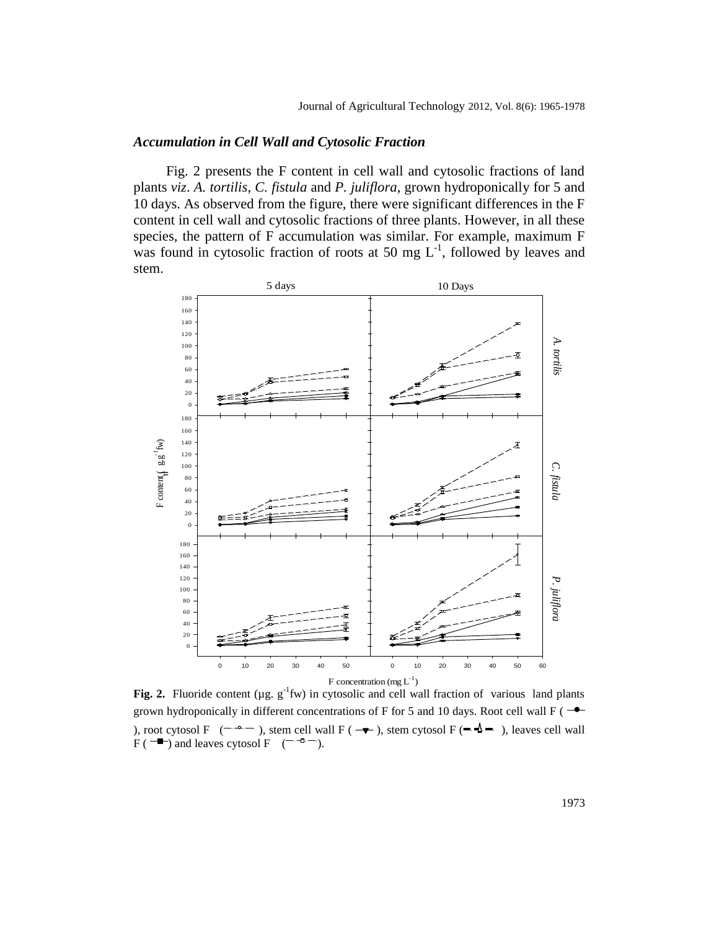#### *Accumulation in Cell Wall and Cytosolic Fraction*

Fig. 2 presents the F content in cell wall and cytosolic fractions of land plants *viz*. *A. tortilis*, *C. fistula* and *P. juliflora*, grown hydroponically for 5 and 10 days. As observed from the figure, there were significant differences in the F content in cell wall and cytosolic fractions of three plants. However, in all these species, the pattern of F accumulation was similar. For example, maximum F was found in cytosolic fraction of roots at 50 mg  $L^{-1}$ , followed by leaves and stem.



**F** concentration (mg L<sup>-1</sup>)<br>**Fig. 2.** Fluoride content (µg. g<sup>-1</sup>fw) in cytosolic and cell wall fraction of various land plants grown hydroponically in different concentrations of F for 5 and 10 days. Root cell wall F ( $\rightarrow$  $F$  ( $\rightarrow$ ) and leaves cytosol F **1130** EXACT THEORYTHEORYTHEORYTHEORYTHEORYTHEORYTHEORYTHEORYTHEORYTHEORYTHEORYTHEORYTHEORYTHEORYTHEORYTHEORYTHEORYTHEORYTHEORYTHEORYTHEORYTHEORYTHEORYTHEORYTHEORYTHEORYTHEORYTHEORYTHEORYTHEORYTHEORYTHEORYTHEORYTHEORYTHEO  $\frac{1}{2}$  for  $\frac{1}{2}$  and  $\frac{1}{2}$ ), stem cytosol F ( $\blacktriangleleft \blacktriangleleft \blacktriangleright$ ), leaves cell wall **1414** Fig. 2. Fluoride cont dispondant, rtosol F  $\subset \prec$ ) and leaves cytosol  $F$  ( $\neg \neg \neg$ ). Col 2 vs Leaves cytosol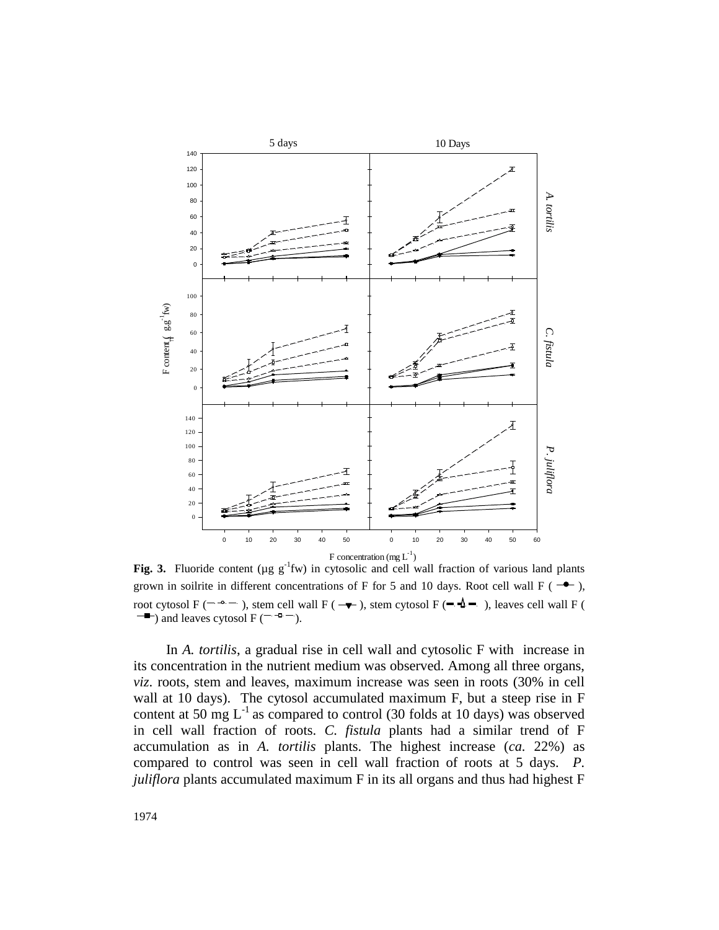

**Fig. 3.** Fluoride content ( $\mu$ g  $g^{-1}$ fw) in cytosolic and cell wall fraction of various land plants grown in soilrite in different concentrations of F for 5 and 10 days. Root cell wall F ( $\rightarrow$ ), ) and leaves cytosol F ( root cytosol F ( $\overline{\phantom{a}}$   $\rightarrow$   $\overline{\phantom{a}}$ ), stem cell wall F ( $\overline{\phantom{a}}$ days vs 5ppm  $\mathcal{O}$  vs 10ppm  $\mathcal{O}$  $\mu$  ( $\mu$ g g Tw) in cytoson *Chara carolina* days variable the control of the control of the control of the control of the control of the control of the control of the control of the control of the control of the control of the control of the control of the control o ), stem cytosol F ( $\blacktriangleleft \blacktriangleleft \blacktriangleright$ ), leaves cell wall F ( **1414** Fig. 3. Fluoride of  $\overline{\mathbf{m}}$  bolding  $\overline{\mathbf{m}}$ ytosol F ( $-$  - $\circ$ days vs 50p<sub>pm</sub>mm vs 50ppm  $\sum_{i=1}^{\infty}$ 

ice<br>| ot<br>| t = 1<br>| 1<br>| 1 juliflora plants accumulated maximum F in its all organs and thus had highest F compared to control was seen in cell wall fraction of roots at 5 days. *P*. accumulation as in *A. tortilis* plants. The highest increase (*ca.* 22%) as in cell wall fraction of roots. *C. fistula* plants had a similar trend of F content at 50 mg  $L^{-1}$  as compared to control (30 folds at 10 days) was observed ua *viz.* roots, stem and leaves, maximum increase was seen in roots (30% in cell its concentration in the nutrient medium was observed. Among all three organs,  $\cdot$  10  $\alpha$  ,  $\alpha$  50ppm  $\alpha$  50ppm  $\alpha$ w. Execution 2 victors, maximum increase was seen in roots (50% in cell wall at 10 days). The cytosol accumulated maximum F, but a steep rise in F In *A. tortilis*, a gradual rise in cell wall and cytosolic F with increase in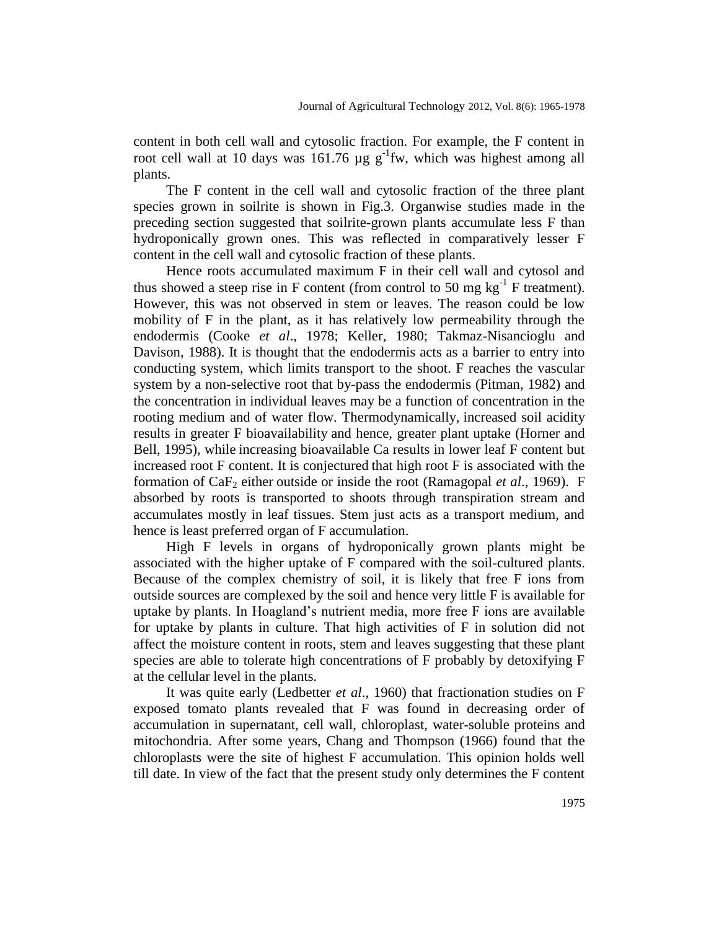content in both cell wall and cytosolic fraction. For example, the F content in root cell wall at 10 days was  $161.76 \mu g g^{-1}f w$ , which was highest among all plants.

The F content in the cell wall and cytosolic fraction of the three plant species grown in soilrite is shown in Fig.3. Organwise studies made in the preceding section suggested that soilrite-grown plants accumulate less F than hydroponically grown ones. This was reflected in comparatively lesser F content in the cell wall and cytosolic fraction of these plants.

Hence roots accumulated maximum F in their cell wall and cytosol and thus showed a steep rise in F content (from control to 50 mg  $\text{kg}^{-1}$  F treatment). However, this was not observed in stem or leaves. The reason could be low mobility of F in the plant, as it has relatively low permeability through the endodermis (Cooke *et al*., 1978; Keller, 1980; Takmaz-Nisancioglu and Davison, 1988). It is thought that the endodermis acts as a barrier to entry into conducting system, which limits transport to the shoot. F reaches the vascular system by a non-selective root that by-pass the endodermis (Pitman, 1982) and the concentration in individual leaves may be a function of concentration in the rooting medium and of water flow. Thermodynamically, increased soil acidity results in greater F bioavailability and hence, greater plant uptake (Horner and Bell, 1995), while increasing bioavailable Ca results in lower leaf F content but increased root F content. It is conjectured that high root F is associated with the formation of CaF<sup>2</sup> either outside or inside the root (Ramagopal *et al*., 1969). F absorbed by roots is transported to shoots through transpiration stream and accumulates mostly in leaf tissues. Stem just acts as a transport medium, and hence is least preferred organ of F accumulation.

High F levels in organs of hydroponically grown plants might be associated with the higher uptake of F compared with the soil-cultured plants. Because of the complex chemistry of soil, it is likely that free F ions from outside sources are complexed by the soil and hence very little F is available for uptake by plants. In Hoagland's nutrient media, more free F ions are available for uptake by plants in culture. That high activities of F in solution did not affect the moisture content in roots, stem and leaves suggesting that these plant species are able to tolerate high concentrations of F probably by detoxifying F at the cellular level in the plants.

It was quite early (Ledbetter *et al*., 1960) that fractionation studies on F exposed tomato plants revealed that F was found in decreasing order of accumulation in supernatant, cell wall, chloroplast, water-soluble proteins and mitochondria. After some years, Chang and Thompson (1966) found that the chloroplasts were the site of highest F accumulation. This opinion holds well till date. In view of the fact that the present study only determines the F content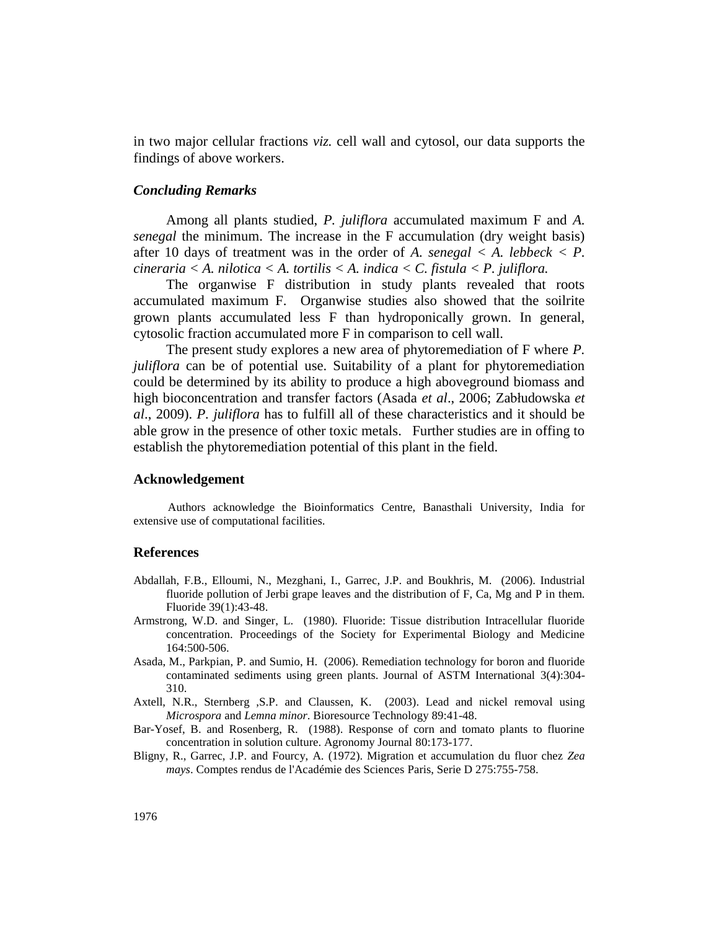in two major cellular fractions *viz.* cell wall and cytosol, our data supports the findings of above workers.

# *Concluding Remarks*

Among all plants studied, *P. juliflora* accumulated maximum F and *A. senegal* the minimum. The increase in the F accumulation (dry weight basis) after 10 days of treatment was in the order of *A. senegal*  $\lt A$ . *lebbeck*  $\lt P$ . *cineraria < A. nilotica < A. tortilis < A. indica < C. fistula < P. juliflora.*

The organwise F distribution in study plants revealed that roots accumulated maximum F. Organwise studies also showed that the soilrite grown plants accumulated less F than hydroponically grown. In general, cytosolic fraction accumulated more F in comparison to cell wall.

The present study explores a new area of phytoremediation of F where *P. juliflora* can be of potential use. Suitability of a plant for phytoremediation could be determined by its ability to produce a high aboveground biomass and high bioconcentration and transfer factors (Asada *et al*., 2006; Zabłudowska *et al*., 2009). *P. juliflora* has to fulfill all of these characteristics and it should be able grow in the presence of other toxic metals. Further studies are in offing to establish the phytoremediation potential of this plant in the field.

#### **Acknowledgement**

Authors acknowledge the Bioinformatics Centre, Banasthali University, India for extensive use of computational facilities.

## **References**

- Abdallah, F.B., Elloumi, N., Mezghani, I., Garrec, J.P. and Boukhris, M. (2006). Industrial fluoride pollution of Jerbi grape leaves and the distribution of F, Ca, Mg and P in them. Fluoride 39(1):43-48.
- Armstrong, W.D. and Singer, L. (1980). Fluoride: Tissue distribution Intracellular fluoride concentration. Proceedings of the Society for Experimental Biology and Medicine 164:500-506.
- Asada, M., Parkpian, P. and Sumio, H. (2006). Remediation technology for boron and fluoride contaminated sediments using green plants. Journal of ASTM International 3(4):304- 310.
- Axtell, N.R., Sternberg ,S.P. and Claussen, K. (2003). Lead and nickel removal using *Microspora* and *Lemna minor*. Bioresource Technology 89:41-48.
- Bar-Yosef, B. and Rosenberg, R. (1988). Response of corn and tomato plants to fluorine concentration in solution culture. Agronomy Journal 80:173-177.
- Bligny, R., Garrec, J.P. and Fourcy, A. (1972). Migration et accumulation du fluor chez *Zea mays*. Comptes rendus de l'Académie des Sciences Paris, Serie D 275:755-758.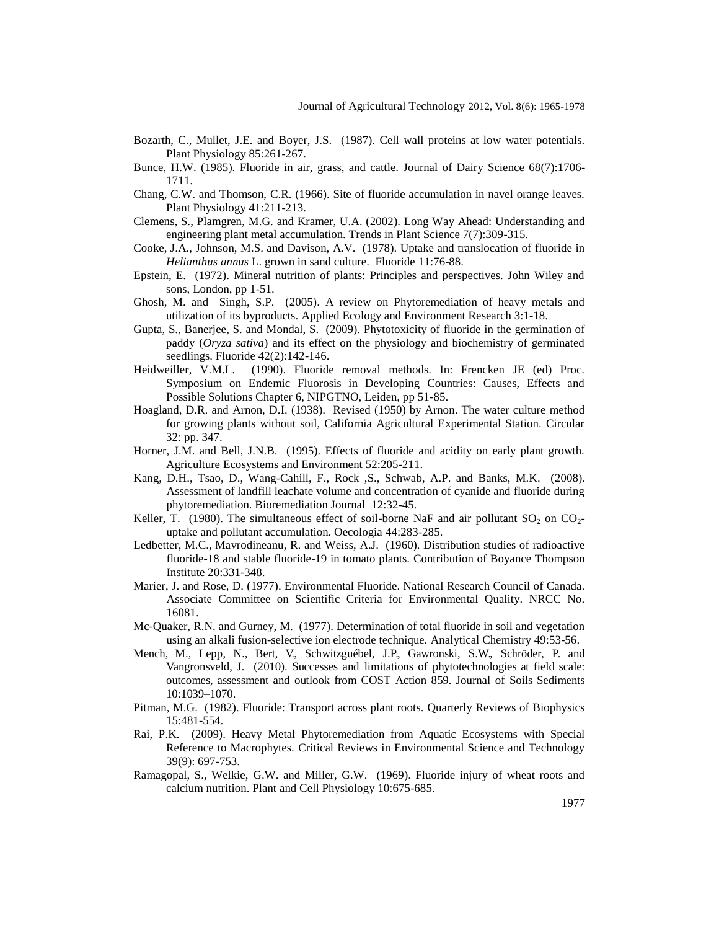- Bozarth, C., Mullet, J.E. and Boyer, J.S. (1987). Cell wall proteins at low water potentials. Plant Physiology 85:261-267.
- Bunce, H.W. (1985). Fluoride in air, grass, and cattle. Journal of Dairy Science 68(7):1706- 1711.
- Chang, C.W. and Thomson, C.R. (1966). Site of fluoride accumulation in navel orange leaves. Plant Physiology 41:211-213.
- Clemens, S., Plamgren, M.G. and Kramer, U.A. (2002). Long Way Ahead: Understanding and engineering plant metal accumulation. Trends in Plant Science 7(7):309-315.
- Cooke, J.A., Johnson, M.S. and Davison, A.V. (1978). Uptake and translocation of fluoride in *Helianthus annus* L. grown in sand culture. Fluoride 11:76-88.
- Epstein, E. (1972). Mineral nutrition of plants: Principles and perspectives. John Wiley and sons, London, pp 1-51.
- Ghosh, M. and Singh, S.P. (2005). A review on Phytoremediation of heavy metals and utilization of its byproducts. Applied Ecology and Environment Research 3:1-18.
- Gupta, S., Banerjee, S. and Mondal, S. (2009). Phytotoxicity of fluoride in the germination of paddy (*Oryza sativa*) and its effect on the physiology and biochemistry of germinated seedlings. Fluoride 42(2):142-146.
- Heidweiller, V.M.L. (1990). Fluoride removal methods. In: Frencken JE (ed) Proc. Symposium on Endemic Fluorosis in Developing Countries: Causes, Effects and Possible Solutions Chapter 6, NIPGTNO, Leiden, pp 51-85.
- Hoagland, D.R. and Arnon, D.I. (1938). Revised (1950) by Arnon. The water culture method for growing plants without soil, California Agricultural Experimental Station. Circular 32: pp. 347.
- Horner, J.M. and Bell, J.N.B. (1995). Effects of fluoride and acidity on early plant growth. Agriculture Ecosystems and Environment 52:205-211.
- Kang, D.H., Tsao, D., Wang-Cahill, F., Rock ,S., Schwab, A.P. and Banks, M.K. (2008). Assessment of landfill leachate volume and concentration of cyanide and fluoride during phytoremediation. Bioremediation Journal 12:32-45.
- Keller, T. (1980). The simultaneous effect of soil-borne NaF and air pollutant  $SO_2$  on  $CO_2$ uptake and pollutant accumulation. Oecologia 44:283-285.
- Ledbetter, M.C., Mavrodineanu, R. and Weiss, A.J. (1960). Distribution studies of radioactive fluoride-18 and stable fluoride-19 in tomato plants. Contribution of Boyance Thompson Institute 20:331-348.
- Marier, J. and Rose, D. (1977). Environmental Fluoride. National Research Council of Canada. Associate Committee on Scientific Criteria for Environmental Quality. NRCC No. 16081.
- Mc-Quaker, R.N. and Gurney, M. (1977). Determination of total fluoride in soil and vegetation using an alkali fusion-selective ion electrode technique. Analytical Chemistry 49:53-56.
- Mench, M., Lepp, N., Bert, V., Schwitzguébel, J.P., Gawronski, S.W., Schröder, P. and Vangronsveld, J. (2010). Successes and limitations of phytotechnologies at field scale: outcomes, assessment and outlook from COST Action 859. Journal of Soils Sediments 10:1039–1070.
- Pitman, M.G. (1982). Fluoride: Transport across plant roots. Quarterly Reviews of Biophysics 15:481-554.
- Rai, P.K. (2009). Heavy Metal Phytoremediation from Aquatic Ecosystems with Special Reference to Macrophytes. Critical Reviews in Environmental Science and Technology 39(9): 697-753.
- Ramagopal, S., Welkie, G.W. and Miller, G.W. (1969). Fluoride injury of wheat roots and calcium nutrition. Plant and Cell Physiology 10:675-685.